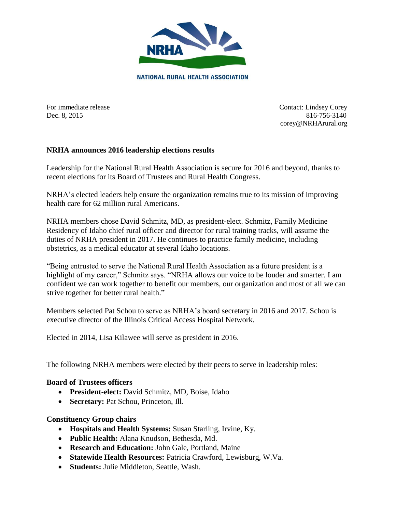

For immediate release Contact: Lindsey Corey Dec. 8, 2015 816-756-3140 corey@NRHArural.org

## **NRHA announces 2016 leadership elections results**

Leadership for the National Rural Health Association is secure for 2016 and beyond, thanks to recent elections for its Board of Trustees and Rural Health Congress.

NRHA's elected leaders help ensure the organization remains true to its mission of improving health care for 62 million rural Americans.

NRHA members chose David Schmitz, MD, as president-elect. Schmitz, Family Medicine Residency of Idaho chief rural officer and director for rural training tracks, will assume the duties of NRHA president in 2017. He continues to practice family medicine, including obstetrics, as a medical educator at several Idaho locations.

"Being entrusted to serve the National Rural Health Association as a future president is a highlight of my career," Schmitz says. "NRHA allows our voice to be louder and smarter. I am confident we can work together to benefit our members, our organization and most of all we can strive together for better rural health."

Members selected Pat Schou to serve as NRHA's board secretary in 2016 and 2017. Schou is executive director of the Illinois Critical Access Hospital Network.

Elected in 2014, Lisa Kilawee will serve as president in 2016.

The following NRHA members were elected by their peers to serve in leadership roles:

## **Board of Trustees officers**

- **President-elect:** David Schmitz, MD, Boise, Idaho
- **Secretary:** Pat Schou, Princeton, Ill.

#### **Constituency Group chairs**

- **Hospitals and Health Systems:** Susan Starling, Irvine, Ky.
- **Public Health:** Alana Knudson, Bethesda, Md.
- **Research and Education:** John Gale, Portland, Maine
- **Statewide Health Resources:** Patricia Crawford, Lewisburg, W.Va.
- **Students:** Julie Middleton, Seattle, Wash.